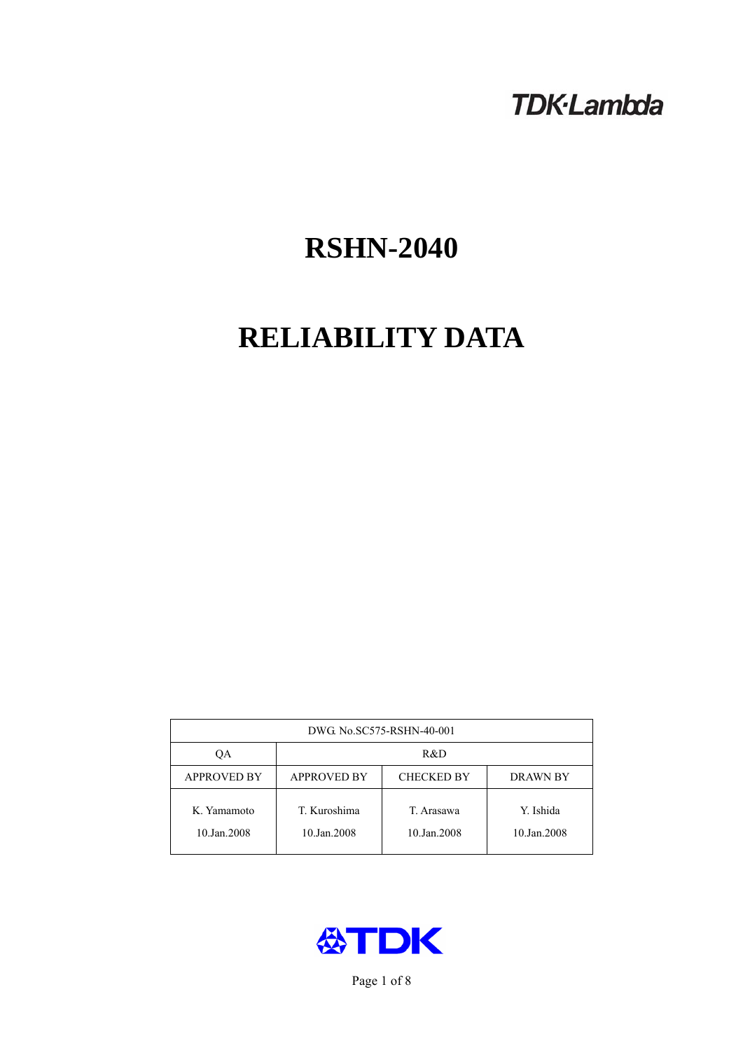## **TDK-Lambda**

# **RSHN-2040**

# **RELIABILITY DATA**

| DWG No.SC575-RSHN-40-001   |                                                            |                           |                          |  |  |
|----------------------------|------------------------------------------------------------|---------------------------|--------------------------|--|--|
| ОA                         | R&D                                                        |                           |                          |  |  |
| <b>APPROVED BY</b>         | <b>APPROVED BY</b><br><b>CHECKED BY</b><br><b>DRAWN BY</b> |                           |                          |  |  |
| K. Yamamoto<br>10.Jan.2008 | T. Kuroshima<br>10.Jan.2008                                | T. Arasawa<br>10.Jan.2008 | Y. Ishida<br>10.Jan.2008 |  |  |



Page 1 of 8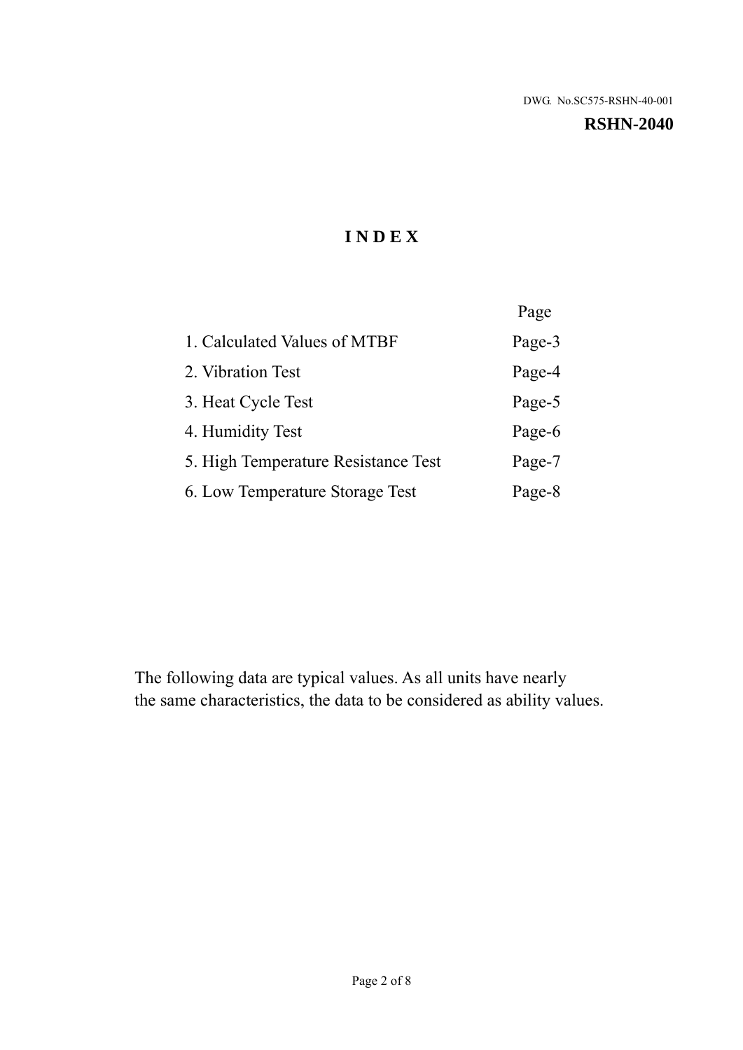#### **RSHN-2040**

## **I N D E X**

|                                     | Page   |
|-------------------------------------|--------|
| 1. Calculated Values of MTBF        | Page-3 |
| 2. Vibration Test                   | Page-4 |
| 3. Heat Cycle Test                  | Page-5 |
| 4. Humidity Test                    | Page-6 |
| 5. High Temperature Resistance Test | Page-7 |
| 6. Low Temperature Storage Test     | Page-8 |

The following data are typical values. As all units have nearly the same characteristics, the data to be considered as ability values.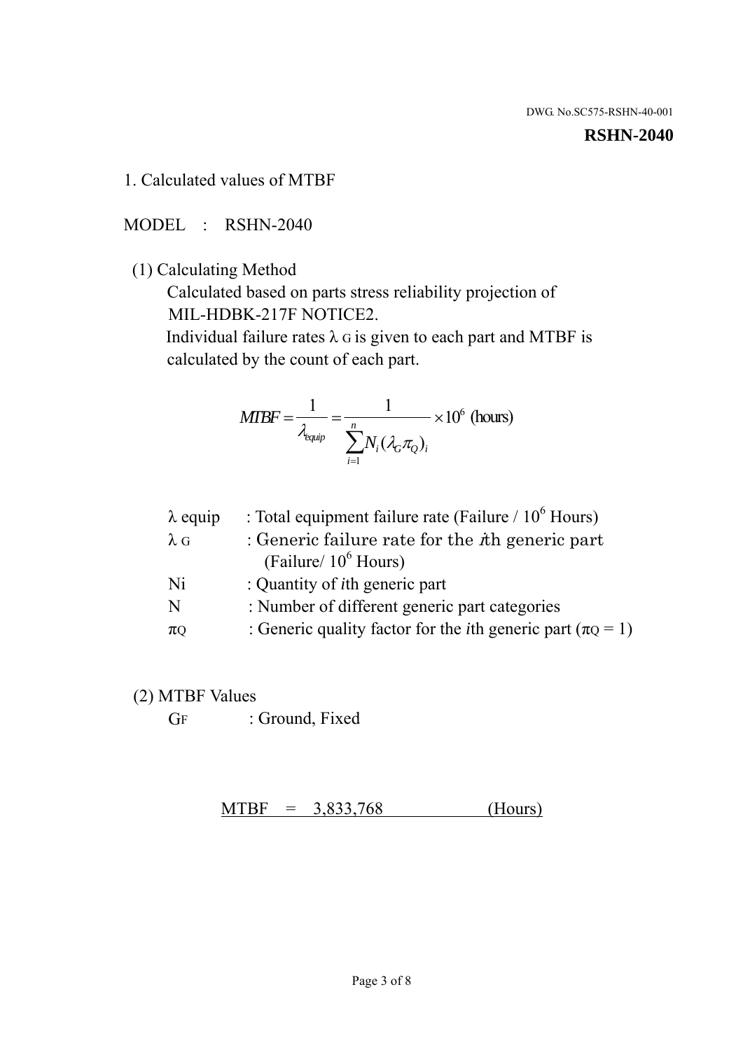#### **RSHN-2040**

1. Calculated values of MTBF

MODEL : RSHN-2040

(1) Calculating Method

 Calculated based on parts stress reliability projection of MIL-HDBK-217F NOTICE2.

Individual failure rates  $\lambda$  G is given to each part and MTBF is calculated by the count of each part.

$$
MIBF = \frac{1}{\lambda_{\text{equip}}} = \frac{1}{\sum_{i=1}^{n} N_i (\lambda_G \pi_Q)_i} \times 10^6 \text{ (hours)}
$$

| $\lambda$ equip | : Total equipment failure rate (Failure $/ 10^6$ Hours)                   |
|-----------------|---------------------------------------------------------------------------|
| $\lambda$ G     | : Generic failure rate for the $\hbar$ generic part                       |
|                 | (Failure/ $10^6$ Hours)                                                   |
| Ni              | : Quantity of <i>i</i> th generic part                                    |
| N               | : Number of different generic part categories                             |
| $\pi$ Q         | : Generic quality factor for the <i>i</i> th generic part ( $\pi Q = 1$ ) |

- (2) MTBF Values
	- GF : Ground, Fixed

 $MTBF = 3,833,768$  (Hours)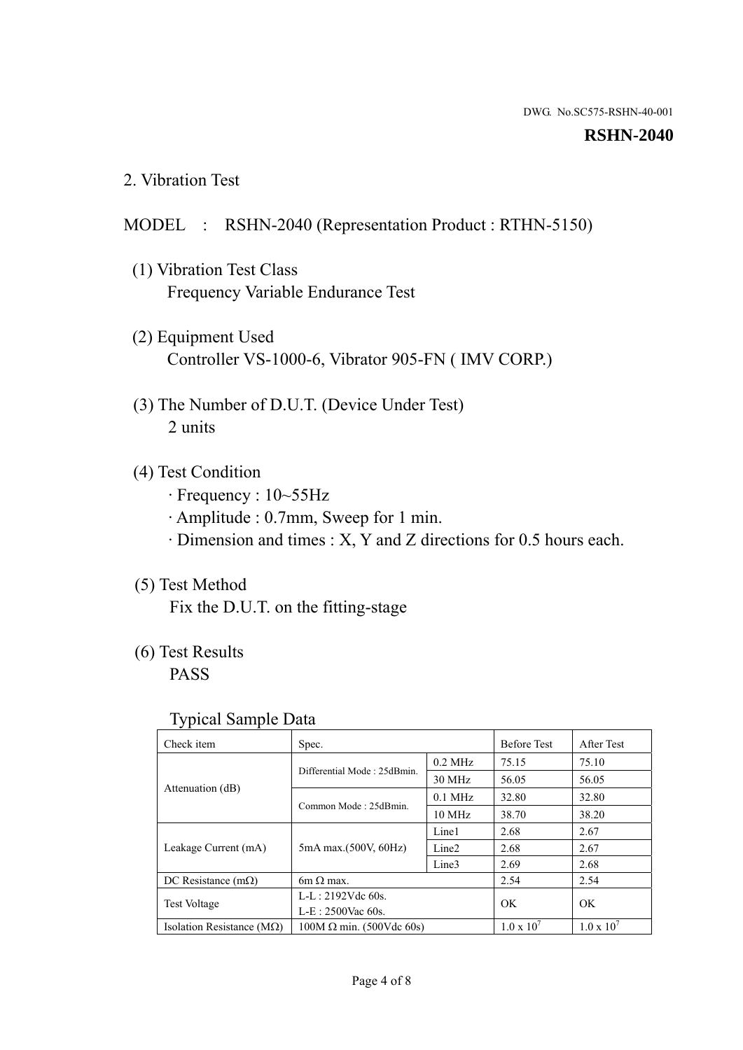#### **RSHN-2040**

2. Vibration Test

## MODEL : RSHN-2040 (Representation Product : RTHN-5150)

- (1) Vibration Test Class Frequency Variable Endurance Test
- (2) Equipment Used Controller VS-1000-6, Vibrator 905-FN ( IMV CORP.)
- (3) The Number of D.U.T. (Device Under Test) 2 units
- (4) Test Condition
	- · Frequency : 10~55Hz
	- · Amplitude : 0.7mm, Sweep for 1 min.
	- · Dimension and times : X, Y and Z directions for 0.5 hours each.

## (5) Test Method

Fix the D.U.T. on the fitting-stage

## (6) Test Results

PASS

## Typical Sample Data

| Check item                         | Spec.                           |                   | <b>Before Test</b>  | After Test          |
|------------------------------------|---------------------------------|-------------------|---------------------|---------------------|
|                                    | Differential Mode: 25dBmin.     | $0.2$ MHz         | 75.15               | 75.10               |
|                                    |                                 | 30 MHz            | 56.05               | 56.05               |
| Attenuation (dB)                   | Common Mode: 25dBmin.           | $0.1$ MHz         | 32.80               | 32.80               |
|                                    |                                 | 10 MHz            | 38.70               | 38.20               |
| Leakage Current (mA)               | 5mA max.(500V, 60Hz)            | Line1             | 2.68                | 2.67                |
|                                    |                                 | Line <sub>2</sub> | 2.68                | 2.67                |
|                                    |                                 | Line3             | 2.69                | 2.68                |
| DC Resistance $(m\Omega)$          | 6m $\Omega$ max.                |                   | 2.54                | 2.54                |
| <b>Test Voltage</b>                | $L-L: 2192Vdc$ 60s.             |                   | OK                  | OK                  |
|                                    | $L-E$ : 2500Vac 60s.            |                   |                     |                     |
| Isolation Resistance ( $M\Omega$ ) | $100M \Omega$ min. (500Vdc 60s) |                   | $1.0 \times 10^{7}$ | $1.0 \times 10^{7}$ |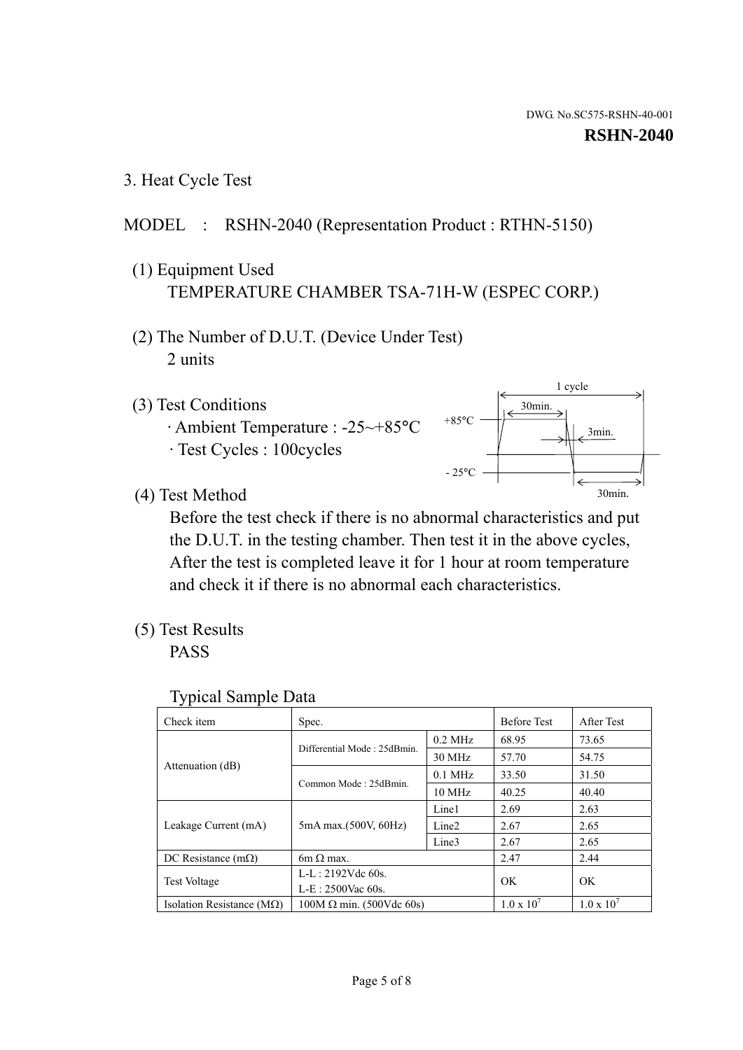1 cycle

30min.

3min.

30min.

#### **RSHN-2040**

3. Heat Cycle Test

## MODEL : RSHN-2040 (Representation Product : RTHN-5150)

- (1) Equipment Used TEMPERATURE CHAMBER TSA-71H-W (ESPEC CORP.)
- (2) The Number of D.U.T. (Device Under Test) 2 units
- (3) Test Conditions
	- · Ambient Temperature : -25~+85°C · Test Cycles : 100cycles
- (4) Test Method

 Before the test check if there is no abnormal characteristics and put the D.U.T. in the testing chamber. Then test it in the above cycles, After the test is completed leave it for 1 hour at room temperature and check it if there is no abnormal each characteristics.

+85°C

 $-25^{\circ}$ C

(5) Test Results

PASS

| <b>Typical Sample Data</b> |  |  |
|----------------------------|--|--|
|----------------------------|--|--|

| Check item                         | Spec.                           |                   | <b>Before Test</b>  | After Test          |
|------------------------------------|---------------------------------|-------------------|---------------------|---------------------|
|                                    |                                 | $0.2$ MHz         | 68.95               | 73.65               |
|                                    | Differential Mode: 25dBmin.     | 30 MHz            | 57.70               | 54.75               |
| Attenuation (dB)                   | Common Mode: 25dBmin.           | $0.1$ MHz         | 33.50               | 31.50               |
|                                    |                                 | $10 \text{ MHz}$  | 40.25               | 40.40               |
| Leakage Current (mA)               | 5mA max.(500V, 60Hz)            | Line1             | 2.69                | 2.63                |
|                                    |                                 | Line <sub>2</sub> | 2.67                | 2.65                |
|                                    |                                 | Line3             | 2.67                | 2.65                |
| DC Resistance $(m\Omega)$          | 6m $\Omega$ max.                |                   | 2.47                | 2.44                |
| <b>Test Voltage</b>                | $L-L: 2192Vdc$ 60s.             |                   | OK.                 | OK                  |
|                                    | $L-E: 2500$ Vac 60s.            |                   |                     |                     |
| Isolation Resistance ( $M\Omega$ ) | $100M \Omega$ min. (500Vdc 60s) |                   | $1.0 \times 10^{7}$ | $1.0 \times 10^{7}$ |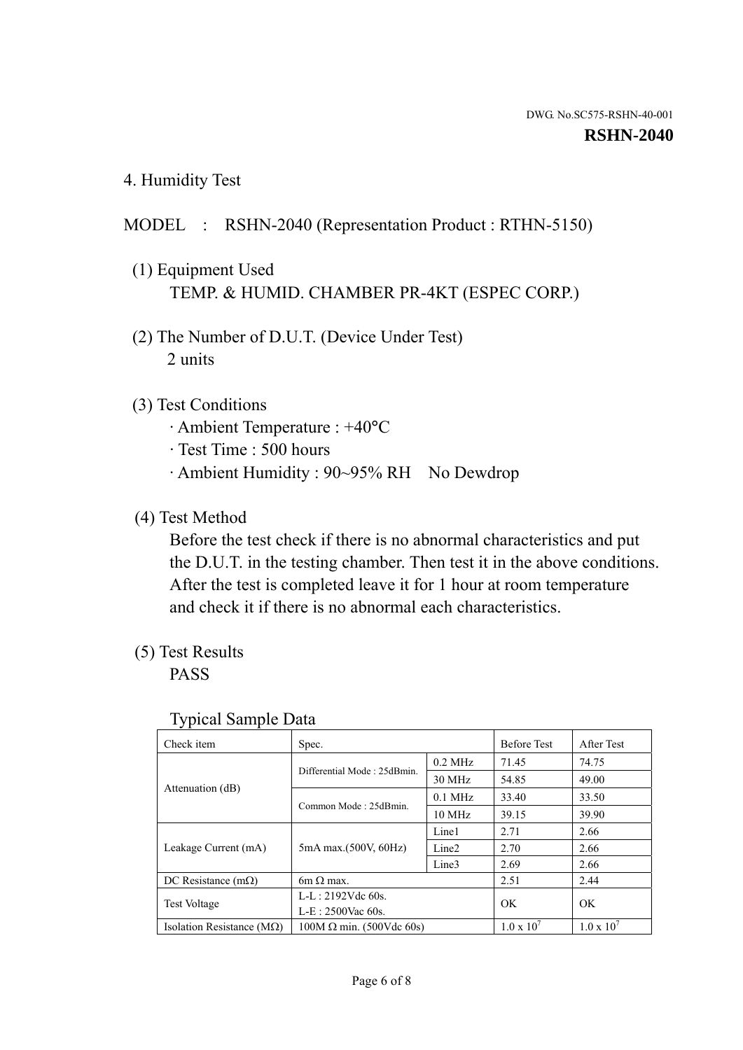4. Humidity Test

## MODEL : RSHN-2040 (Representation Product : RTHN-5150)

- (1) Equipment Used TEMP. & HUMID. CHAMBER PR-4KT (ESPEC CORP.)
- (2) The Number of D.U.T. (Device Under Test) 2 units

### (3) Test Conditions

- · Ambient Temperature : +40°C
- · Test Time : 500 hours
- · Ambient Humidity : 90~95% RH No Dewdrop

## (4) Test Method

 Before the test check if there is no abnormal characteristics and put the D.U.T. in the testing chamber. Then test it in the above conditions. After the test is completed leave it for 1 hour at room temperature and check it if there is no abnormal each characteristics.

## (5) Test Results

PASS

| ັ່<br>Check item                   | Spec.                       |                   | <b>Before Test</b>  | After Test          |
|------------------------------------|-----------------------------|-------------------|---------------------|---------------------|
|                                    | Differential Mode: 25dBmin. | $0.2$ MHz         | 71.45               | 74.75               |
|                                    |                             | 30 MHz            | 54.85               | 49.00               |
| Attenuation (dB)                   | Common Mode: 25dBmin.       | $0.1$ MHz         | 33.40               | 33.50               |
|                                    |                             | $10 \text{ MHz}$  | 39.15               | 39.90               |
|                                    | 5mA max.(500V, 60Hz)        | Line1             | 2.71                | 2.66                |
| Leakage Current (mA)               |                             | Line <sub>2</sub> | 2.70                | 2.66                |
|                                    |                             | Line3             | 2.69                | 2.66                |
| DC Resistance $(m\Omega)$          | $6m \Omega$ max.            |                   | 2.51                | 2.44                |
| Test Voltage                       | $L-L: 2192Vdc$ 60s.         |                   | OK                  | OK.                 |
|                                    | $L-E: 2500$ Vac 60s.        |                   |                     |                     |
| Isolation Resistance ( $M\Omega$ ) | $100M$ Ω min. (500Vdc 60s)  |                   | $1.0 \times 10^{7}$ | $1.0 \times 10^{7}$ |

#### Typical Sample Data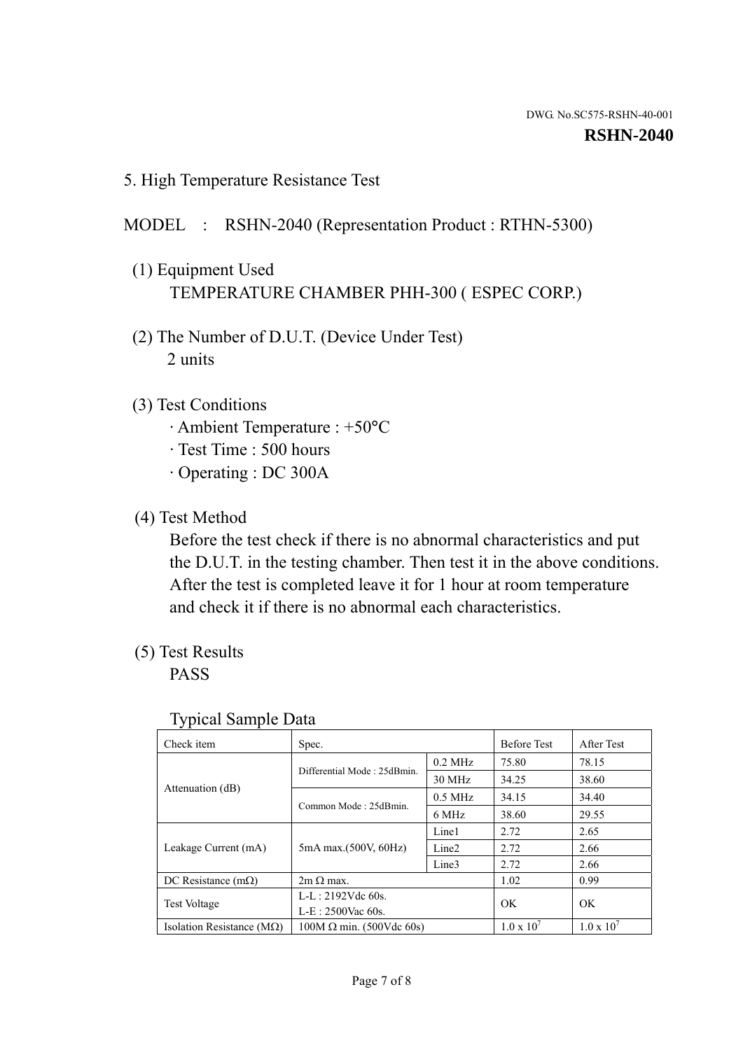5. High Temperature Resistance Test

### MODEL : RSHN-2040 (Representation Product : RTHN-5300)

- (1) Equipment Used TEMPERATURE CHAMBER PHH-300 ( ESPEC CORP.)
- (2) The Number of D.U.T. (Device Under Test) 2 units
- (3) Test Conditions
	- · Ambient Temperature : +50°C
	- · Test Time : 500 hours
	- · Operating : DC 300A
- (4) Test Method

 Before the test check if there is no abnormal characteristics and put the D.U.T. in the testing chamber. Then test it in the above conditions. After the test is completed leave it for 1 hour at room temperature and check it if there is no abnormal each characteristics.

(5) Test Results

PASS

| Check item                         | Spec.                           |                   | <b>Before Test</b>  | After Test          |
|------------------------------------|---------------------------------|-------------------|---------------------|---------------------|
|                                    | Differential Mode: 25dBmin.     | $0.2$ MHz         | 75.80               | 78.15               |
|                                    |                                 | 30 MHz            | 34.25               | 38.60               |
| Attenuation (dB)                   | Common Mode: 25dBmin.           | $0.5$ MHz         | 34.15               | 34.40               |
|                                    |                                 | 6 MHz             | 38.60               | 29.55               |
| Leakage Current (mA)               | 5mA max.(500V, 60Hz)            | Line1             | 2.72                | 2.65                |
|                                    |                                 | Line <sub>2</sub> | 2.72                | 2.66                |
|                                    |                                 | Line3             | 2.72                | 2.66                |
| DC Resistance $(m\Omega)$          | $2m \Omega$ max.                |                   | 1.02                | 0.99                |
| <b>Test Voltage</b>                | $L-L: 2192Vdc$ 60s.             |                   | OK.                 | OK                  |
|                                    | $L-E: 2500$ Vac 60s.            |                   |                     |                     |
| Isolation Resistance ( $M\Omega$ ) | $100M \Omega$ min. (500Vdc 60s) |                   | $1.0 \times 10^{7}$ | $1.0 \times 10^{7}$ |

#### Typical Sample Data